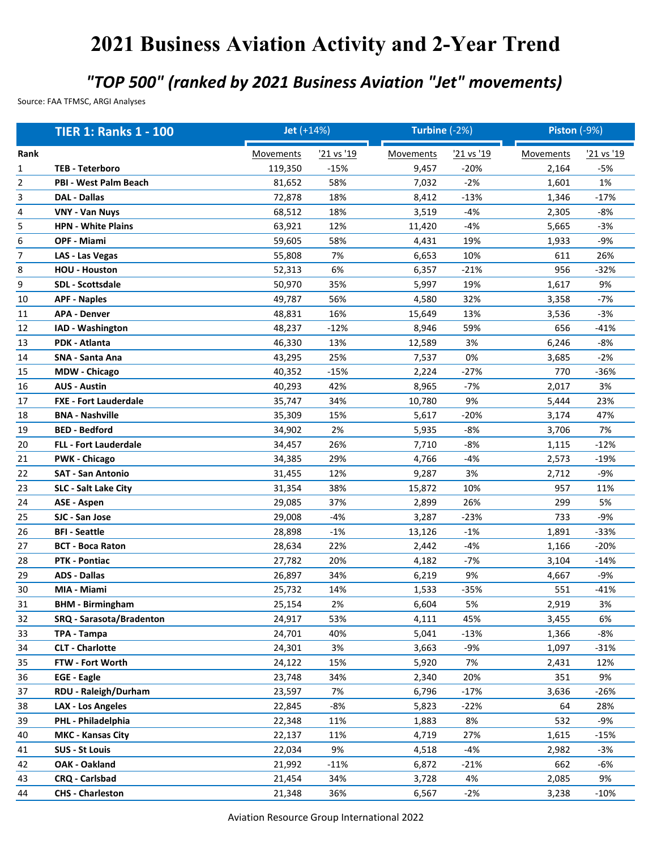## **2021 Business Aviation Activity and 2-Year Trend**

## *"TOP 500" (ranked by 2021 Business Aviation "Jet" movements)*

Source: FAA TFMSC, ARGI Analyses

|      | <b>TIER 1: Ranks 1 - 100</b> | Jet (+14%)       |            | Turbine (-2%)    |            | <b>Piston (-9%)</b> |                   |
|------|------------------------------|------------------|------------|------------------|------------|---------------------|-------------------|
| Rank |                              | <b>Movements</b> | '21 vs '19 | <b>Movements</b> | '21 vs '19 | <b>Movements</b>    | <u>'21 vs '19</u> |
| 1    | <b>TEB - Teterboro</b>       | 119,350          | $-15%$     | 9,457            | $-20%$     | 2,164               | -5%               |
| 2    | <b>PBI - West Palm Beach</b> | 81,652           | 58%        | 7,032            | $-2%$      | 1,601               | 1%                |
| 3    | <b>DAL - Dallas</b>          | 72,878           | 18%        | 8,412            | $-13%$     | 1,346               | $-17%$            |
| 4    | <b>VNY - Van Nuys</b>        | 68,512           | 18%        | 3,519            | $-4%$      | 2,305               | $-8%$             |
| 5    | <b>HPN - White Plains</b>    | 63,921           | 12%        | 11,420           | $-4%$      | 5,665               | $-3%$             |
| 6    | OPF - Miami                  | 59,605           | 58%        | 4,431            | 19%        | 1,933               | $-9%$             |
| 7    | LAS - Las Vegas              | 55,808           | 7%         | 6,653            | 10%        | 611                 | 26%               |
| 8    | <b>HOU - Houston</b>         | 52,313           | 6%         | 6,357            | $-21%$     | 956                 | $-32%$            |
| 9    | SDL - Scottsdale             | 50,970           | 35%        | 5,997            | 19%        | 1,617               | 9%                |
| 10   | <b>APF - Naples</b>          | 49,787           | 56%        | 4,580            | 32%        | 3,358               | $-7%$             |
| 11   | <b>APA - Denver</b>          | 48,831           | 16%        | 15,649           | 13%        | 3,536               | $-3%$             |
| 12   | IAD - Washington             | 48,237           | $-12%$     | 8,946            | 59%        | 656                 | $-41%$            |
| 13   | PDK - Atlanta                | 46,330           | 13%        | 12,589           | 3%         | 6,246               | $-8%$             |
| 14   | <b>SNA - Santa Ana</b>       | 43,295           | 25%        | 7,537            | 0%         | 3,685               | $-2%$             |
| 15   | <b>MDW - Chicago</b>         | 40,352           | $-15%$     | 2,224            | $-27%$     | 770                 | $-36%$            |
| 16   | <b>AUS - Austin</b>          | 40,293           | 42%        | 8,965            | $-7%$      | 2,017               | 3%                |
| 17   | <b>FXE - Fort Lauderdale</b> | 35,747           | 34%        | 10,780           | 9%         | 5,444               | 23%               |
| 18   | <b>BNA - Nashville</b>       | 35,309           | 15%        | 5,617            | $-20%$     | 3,174               | 47%               |
| 19   | <b>BED - Bedford</b>         | 34,902           | 2%         | 5,935            | $-8%$      | 3,706               | 7%                |
| 20   | <b>FLL - Fort Lauderdale</b> | 34,457           | 26%        | 7,710            | $-8%$      | 1,115               | $-12%$            |
| 21   | <b>PWK - Chicago</b>         | 34,385           | 29%        | 4,766            | $-4%$      | 2,573               | $-19%$            |
| 22   | <b>SAT - San Antonio</b>     | 31,455           | 12%        | 9,287            | 3%         | 2,712               | $-9%$             |
| 23   | <b>SLC - Salt Lake City</b>  | 31,354           | 38%        | 15,872           | 10%        | 957                 | 11%               |
| 24   | <b>ASE - Aspen</b>           | 29,085           | 37%        | 2,899            | 26%        | 299                 | 5%                |
| 25   | SJC - San Jose               | 29,008           | $-4%$      | 3,287            | $-23%$     | 733                 | $-9%$             |
| 26   | <b>BFI</b> - Seattle         | 28,898           | $-1%$      | 13,126           | $-1%$      | 1,891               | $-33%$            |
| 27   | <b>BCT - Boca Raton</b>      | 28,634           | 22%        | 2,442            | -4%        | 1,166               | $-20%$            |
| 28   | <b>PTK - Pontiac</b>         | 27,782           | 20%        | 4,182            | $-7%$      | 3,104               | $-14%$            |
| 29   | <b>ADS - Dallas</b>          | 26,897           | 34%        | 6,219            | 9%         | 4,667               | $-9%$             |
| 30   | MIA - Miami                  | 25,732           | 14%        | 1,533            | $-35%$     | 551                 | $-41%$            |
| 31   | <b>BHM - Birmingham</b>      | 25,154           | 2%         | 6,604            | 5%         | 2,919               | 3%                |
| 32   | SRQ - Sarasota/Bradenton     | 24,917           | 53%        | 4,111            | 45%        | 3,455               | 6%                |
| 33   | TPA - Tampa                  | 24,701           | 40%        | 5,041            | $-13%$     | 1,366               | $-8%$             |
| 34   | <b>CLT - Charlotte</b>       | 24,301           | 3%         | 3,663            | $-9%$      | 1,097               | $-31%$            |
| 35   | FTW - Fort Worth             | 24,122           | 15%        | 5,920            | 7%         | 2,431               | 12%               |
| 36   | <b>EGE - Eagle</b>           | 23,748           | 34%        | 2,340            | 20%        | 351                 | 9%                |
| 37   | RDU - Raleigh/Durham         | 23,597           | 7%         | 6,796            | $-17%$     | 3,636               | $-26%$            |
| 38   | <b>LAX - Los Angeles</b>     | 22,845           | -8%        | 5,823            | $-22%$     | 64                  | 28%               |
| 39   | PHL - Philadelphia           | 22,348           | 11%        | 1,883            | 8%         | 532                 | -9%               |
| 40   | <b>MKC - Kansas City</b>     | 22,137           | 11%        | 4,719            | 27%        | 1,615               | $-15%$            |
| 41   | <b>SUS - St Louis</b>        | 22,034           | 9%         | 4,518            | $-4%$      | 2,982               | $-3%$             |
| 42   | OAK - Oakland                | 21,992           | $-11%$     | 6,872            | $-21%$     | 662                 | -6%               |
| 43   | CRQ - Carlsbad               | 21,454           | 34%        | 3,728            | 4%         | 2,085               | 9%                |
| 44   | <b>CHS - Charleston</b>      | 21,348           | 36%        | 6,567            | $-2%$      | 3,238               | $-10%$            |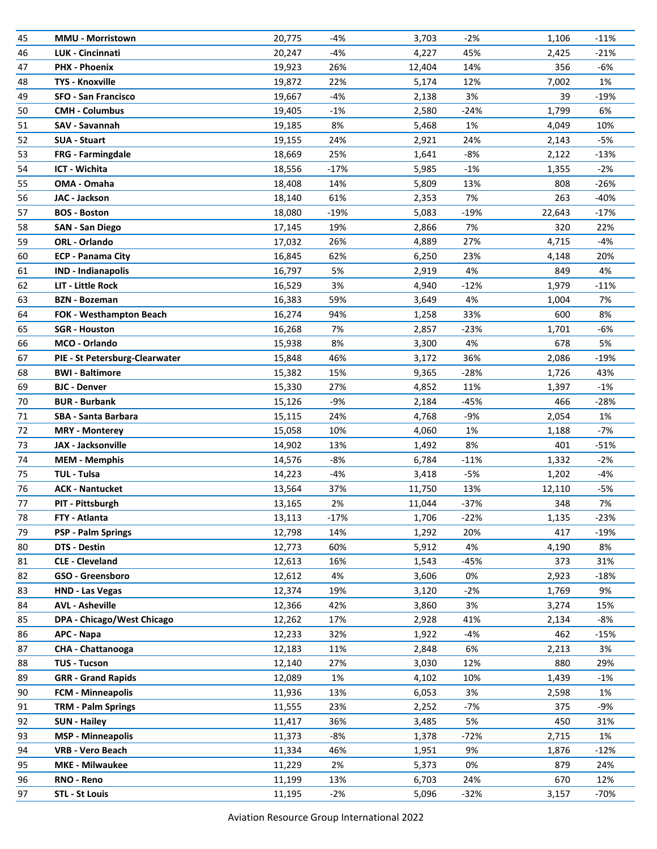| 45 | <b>MMU - Morristown</b>        | 20,775 | -4%    | 3,703  | $-2%$  | 1,106  | $-11%$ |
|----|--------------------------------|--------|--------|--------|--------|--------|--------|
| 46 | <b>LUK - Cincinnati</b>        | 20,247 | $-4%$  | 4,227  | 45%    | 2,425  | $-21%$ |
| 47 | <b>PHX - Phoenix</b>           | 19,923 | 26%    | 12,404 | 14%    | 356    | $-6%$  |
| 48 | <b>TYS - Knoxville</b>         | 19,872 | 22%    | 5,174  | 12%    | 7,002  | 1%     |
| 49 | <b>SFO - San Francisco</b>     | 19,667 | $-4%$  | 2,138  | 3%     | 39     | $-19%$ |
| 50 | <b>CMH - Columbus</b>          | 19,405 | $-1%$  | 2,580  | $-24%$ | 1,799  | 6%     |
| 51 | SAV - Savannah                 | 19,185 | 8%     | 5,468  | 1%     | 4,049  | 10%    |
| 52 | <b>SUA - Stuart</b>            | 19,155 | 24%    | 2,921  | 24%    | 2,143  | $-5%$  |
| 53 | FRG - Farmingdale              | 18,669 | 25%    | 1,641  | -8%    | 2,122  | $-13%$ |
| 54 | ICT - Wichita                  | 18,556 | $-17%$ | 5,985  | $-1%$  | 1,355  | $-2%$  |
| 55 | OMA - Omaha                    | 18,408 | 14%    | 5,809  | 13%    | 808    | $-26%$ |
| 56 | JAC - Jackson                  | 18,140 | 61%    | 2,353  | 7%     | 263    | $-40%$ |
| 57 | <b>BOS - Boston</b>            | 18,080 | $-19%$ | 5,083  | -19%   | 22,643 | $-17%$ |
| 58 | <b>SAN - San Diego</b>         | 17,145 | 19%    | 2,866  | 7%     | 320    | 22%    |
| 59 | ORL - Orlando                  | 17,032 | 26%    | 4,889  | 27%    | 4,715  | $-4%$  |
| 60 | <b>ECP - Panama City</b>       | 16,845 | 62%    | 6,250  | 23%    | 4,148  | 20%    |
| 61 | <b>IND - Indianapolis</b>      | 16,797 | 5%     | 2,919  | 4%     | 849    | 4%     |
| 62 | <b>LIT - Little Rock</b>       | 16,529 | 3%     | 4,940  | $-12%$ | 1,979  | $-11%$ |
| 63 | <b>BZN</b> - Bozeman           | 16,383 | 59%    | 3,649  | 4%     | 1,004  | 7%     |
| 64 | FOK - Westhampton Beach        | 16,274 | 94%    | 1,258  | 33%    | 600    | 8%     |
| 65 | <b>SGR - Houston</b>           | 16,268 | 7%     | 2,857  | $-23%$ | 1,701  | $-6%$  |
| 66 | MCO - Orlando                  | 15,938 | 8%     | 3,300  | 4%     | 678    | 5%     |
| 67 | PIE - St Petersburg-Clearwater | 15,848 | 46%    | 3,172  | 36%    | 2,086  | $-19%$ |
| 68 | <b>BWI - Baltimore</b>         | 15,382 | 15%    | 9,365  | -28%   | 1,726  | 43%    |
| 69 | <b>BJC - Denver</b>            | 15,330 | 27%    | 4,852  | 11%    | 1,397  | $-1%$  |
| 70 | <b>BUR</b> - Burbank           | 15,126 | $-9%$  | 2,184  | -45%   | 466    | $-28%$ |
| 71 | SBA - Santa Barbara            | 15,115 | 24%    | 4,768  | -9%    | 2,054  | 1%     |
| 72 | <b>MRY - Monterey</b>          | 15,058 | 10%    | 4,060  | 1%     | 1,188  | $-7%$  |
| 73 | JAX - Jacksonville             | 14,902 | 13%    | 1,492  | 8%     | 401    | $-51%$ |
| 74 | <b>MEM - Memphis</b>           | 14,576 | $-8%$  | 6,784  | $-11%$ | 1,332  | $-2%$  |
| 75 | <b>TUL - Tulsa</b>             | 14,223 | $-4%$  | 3,418  | $-5%$  | 1,202  | $-4%$  |
| 76 | <b>ACK - Nantucket</b>         | 13,564 | 37%    | 11,750 | 13%    | 12,110 | $-5%$  |
| 77 | PIT - Pittsburgh               | 13,165 | 2%     | 11,044 | $-37%$ | 348    | 7%     |
| 78 | FTY - Atlanta                  | 13,113 | $-17%$ | 1,706  | $-22%$ | 1,135  | $-23%$ |
| 79 | <b>PSP - Palm Springs</b>      | 12,798 | 14%    | 1,292  | 20%    | 417    | $-19%$ |
| 80 | DTS - Destin                   | 12,773 | 60%    | 5,912  | 4%     | 4,190  | 8%     |
| 81 | <b>CLE - Cleveland</b>         | 12,613 | 16%    | 1,543  | -45%   | 373    | 31%    |
| 82 | GSO - Greensboro               | 12,612 | 4%     | 3,606  | 0%     | 2,923  | $-18%$ |
| 83 | <b>HND - Las Vegas</b>         | 12,374 | 19%    | 3,120  | $-2%$  | 1,769  | 9%     |
| 84 | <b>AVL - Asheville</b>         | 12,366 | 42%    | 3,860  | 3%     | 3,274  | 15%    |
| 85 | DPA - Chicago/West Chicago     | 12,262 | 17%    | 2,928  | 41%    | 2,134  | -8%    |
| 86 | APC - Napa                     | 12,233 | 32%    | 1,922  | -4%    | 462    | $-15%$ |
| 87 | CHA - Chattanooga              | 12,183 | 11%    | 2,848  | 6%     | 2,213  | 3%     |
| 88 | <b>TUS - Tucson</b>            | 12,140 | 27%    | 3,030  | 12%    | 880    | 29%    |
| 89 | <b>GRR - Grand Rapids</b>      | 12,089 | 1%     | 4,102  | 10%    | 1,439  | $-1%$  |
| 90 | <b>FCM - Minneapolis</b>       | 11,936 | 13%    | 6,053  | 3%     | 2,598  | 1%     |
| 91 | <b>TRM - Palm Springs</b>      | 11,555 | 23%    | 2,252  | -7%    | 375    | $-9%$  |
| 92 | <b>SUN - Hailey</b>            | 11,417 | 36%    | 3,485  | 5%     | 450    | 31%    |
| 93 | <b>MSP</b> - Minneapolis       | 11,373 | $-8%$  | 1,378  | -72%   | 2,715  | 1%     |
| 94 | <b>VRB - Vero Beach</b>        | 11,334 | 46%    | 1,951  | 9%     | 1,876  | $-12%$ |
| 95 | <b>MKE - Milwaukee</b>         | 11,229 | 2%     | 5,373  | 0%     | 879    | 24%    |
| 96 | RNO - Reno                     | 11,199 | 13%    | 6,703  | 24%    | 670    | 12%    |
| 97 | <b>STL - St Louis</b>          | 11,195 | $-2%$  | 5,096  | $-32%$ | 3,157  | $-70%$ |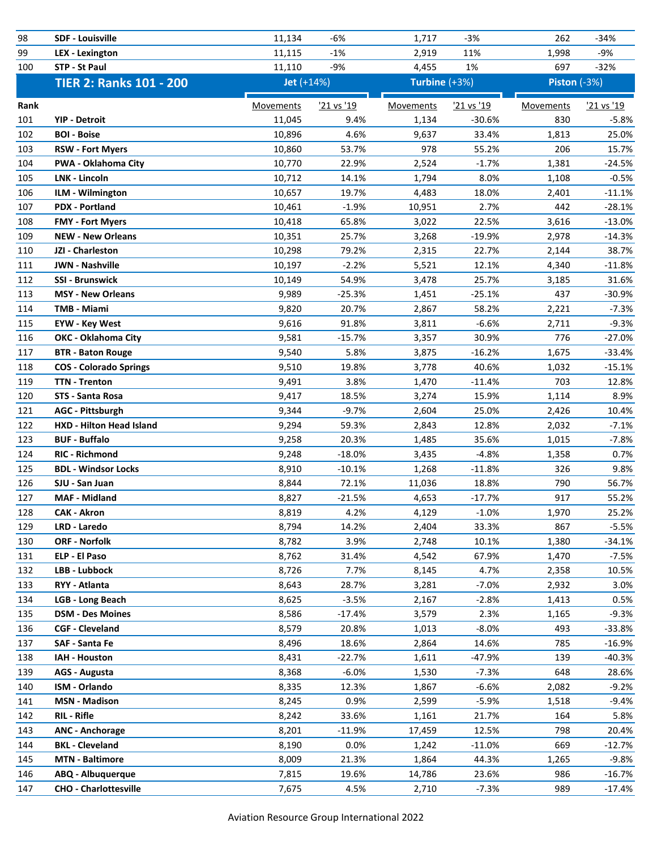| 98   | <b>SDF - Louisville</b>         | 11,134     | $-6%$      | 1,717         | $-3%$      | 262                 | $-34%$     |
|------|---------------------------------|------------|------------|---------------|------------|---------------------|------------|
| 99   | <b>LEX</b> - Lexington          | 11,115     | $-1%$      | 2,919         | 11%        | 1,998               | $-9%$      |
| 100  | STP - St Paul                   | 11,110     | $-9%$      | 4,455         | 1%         | 697                 | $-32%$     |
|      | <b>TIER 2: Ranks 101 - 200</b>  | Jet (+14%) |            | Turbine (+3%) |            | <b>Piston (-3%)</b> |            |
| Rank |                                 | Movements  | '21 vs '19 | Movements     | '21 vs '19 | Movements           | '21 vs '19 |
| 101  | <b>YIP - Detroit</b>            | 11,045     | 9.4%       | 1,134         | $-30.6%$   | 830                 | $-5.8%$    |
| 102  | <b>BOI - Boise</b>              | 10,896     | 4.6%       | 9,637         | 33.4%      | 1,813               | 25.0%      |
| 103  | <b>RSW - Fort Myers</b>         | 10,860     | 53.7%      | 978           | 55.2%      | 206                 | 15.7%      |
| 104  | PWA - Oklahoma City             | 10,770     | 22.9%      | 2,524         | $-1.7%$    | 1,381               | $-24.5%$   |
| 105  | <b>LNK - Lincoln</b>            | 10,712     | 14.1%      | 1,794         | 8.0%       | 1,108               | $-0.5%$    |
| 106  | ILM - Wilmington                | 10,657     | 19.7%      | 4,483         | 18.0%      | 2,401               | $-11.1%$   |
| 107  | <b>PDX - Portland</b>           | 10,461     | $-1.9%$    | 10,951        | 2.7%       | 442                 | $-28.1%$   |
| 108  | <b>FMY - Fort Myers</b>         | 10,418     | 65.8%      | 3,022         | 22.5%      | 3,616               | $-13.0%$   |
| 109  | <b>NEW - New Orleans</b>        | 10,351     | 25.7%      | 3,268         | $-19.9%$   | 2,978               | $-14.3%$   |
| 110  | JZI - Charleston                | 10,298     | 79.2%      | 2,315         | 22.7%      | 2,144               | 38.7%      |
| 111  | <b>JWN - Nashville</b>          | 10,197     | $-2.2%$    | 5,521         | 12.1%      | 4,340               | $-11.8%$   |
| 112  | <b>SSI - Brunswick</b>          | 10,149     | 54.9%      | 3,478         | 25.7%      | 3,185               | 31.6%      |
| 113  | <b>MSY - New Orleans</b>        | 9,989      | $-25.3%$   | 1,451         | $-25.1%$   | 437                 | $-30.9%$   |
| 114  | <b>TMB - Miami</b>              | 9,820      | 20.7%      | 2,867         | 58.2%      | 2,221               | $-7.3%$    |
| 115  | <b>EYW - Key West</b>           | 9,616      | 91.8%      | 3,811         | $-6.6%$    | 2,711               | $-9.3%$    |
| 116  | <b>OKC - Oklahoma City</b>      | 9,581      | $-15.7%$   | 3,357         | 30.9%      | 776                 | $-27.0%$   |
| 117  | <b>BTR - Baton Rouge</b>        | 9,540      | 5.8%       | 3,875         | $-16.2%$   | 1,675               | $-33.4%$   |
| 118  | <b>COS - Colorado Springs</b>   | 9,510      | 19.8%      | 3,778         | 40.6%      | 1,032               | $-15.1%$   |
| 119  | <b>TTN - Trenton</b>            | 9,491      | 3.8%       | 1,470         | $-11.4%$   | 703                 | 12.8%      |
| 120  | STS - Santa Rosa                | 9,417      | 18.5%      | 3,274         | 15.9%      | 1,114               | 8.9%       |
| 121  | <b>AGC - Pittsburgh</b>         | 9,344      | $-9.7%$    | 2,604         | 25.0%      | 2,426               | 10.4%      |
| 122  | <b>HXD - Hilton Head Island</b> | 9,294      | 59.3%      | 2,843         | 12.8%      | 2,032               | $-7.1%$    |
| 123  | <b>BUF - Buffalo</b>            | 9,258      | 20.3%      | 1,485         | 35.6%      | 1,015               | $-7.8%$    |
| 124  | <b>RIC - Richmond</b>           | 9,248      | $-18.0%$   | 3,435         | $-4.8%$    | 1,358               | 0.7%       |
| 125  | <b>BDL - Windsor Locks</b>      | 8,910      | $-10.1%$   | 1,268         | $-11.8%$   | 326                 | 9.8%       |
| 126  | SJU - San Juan                  | 8,844      | 72.1%      | 11,036        | 18.8%      | 790                 | 56.7%      |
| 127  | <b>MAF - Midland</b>            | 8,827      | $-21.5%$   | 4,653         | $-17.7%$   | 917                 | 55.2%      |
| 128  | <b>CAK - Akron</b>              | 8,819      | 4.2%       | 4,129         | $-1.0%$    | 1,970               | 25.2%      |
| 129  | LRD - Laredo                    | 8,794      | 14.2%      | 2,404         | 33.3%      | 867                 | $-5.5%$    |
| 130  | <b>ORF - Norfolk</b>            | 8,782      | 3.9%       | 2,748         | 10.1%      | 1,380               | $-34.1%$   |
| 131  | ELP - El Paso                   | 8,762      | 31.4%      | 4,542         | 67.9%      | 1,470               | $-7.5%$    |
| 132  | LBB - Lubbock                   | 8,726      | 7.7%       | 8,145         | 4.7%       | 2,358               | 10.5%      |
| 133  | RYY - Atlanta                   | 8,643      | 28.7%      | 3,281         | $-7.0%$    | 2,932               | 3.0%       |
| 134  | <b>LGB - Long Beach</b>         | 8,625      | $-3.5%$    | 2,167         | $-2.8%$    | 1,413               | 0.5%       |
| 135  | <b>DSM - Des Moines</b>         | 8,586      | $-17.4%$   | 3,579         | 2.3%       | 1,165               | $-9.3%$    |
| 136  | <b>CGF - Cleveland</b>          | 8,579      | 20.8%      | 1,013         | $-8.0%$    | 493                 | -33.8%     |
| 137  | SAF - Santa Fe                  | 8,496      | 18.6%      | 2,864         | 14.6%      | 785                 | $-16.9%$   |
| 138  | IAH - Houston                   | 8,431      | $-22.7%$   | 1,611         | $-47.9%$   | 139                 | -40.3%     |
| 139  | AGS - Augusta                   | 8,368      | $-6.0\%$   | 1,530         | $-7.3%$    | 648                 | 28.6%      |
| 140  | <b>ISM - Orlando</b>            | 8,335      | 12.3%      | 1,867         | $-6.6%$    | 2,082               | $-9.2%$    |
| 141  | <b>MSN - Madison</b>            | 8,245      | 0.9%       | 2,599         | $-5.9%$    | 1,518               | -9.4%      |
| 142  | <b>RIL - Rifle</b>              | 8,242      | 33.6%      | 1,161         | 21.7%      | 164                 | 5.8%       |
| 143  | <b>ANC - Anchorage</b>          | 8,201      | $-11.9%$   | 17,459        | 12.5%      | 798                 | 20.4%      |
| 144  | <b>BKL</b> - Cleveland          | 8,190      | $0.0\%$    | 1,242         | $-11.0%$   | 669                 | $-12.7%$   |
| 145  | <b>MTN - Baltimore</b>          | 8,009      | 21.3%      | 1,864         | 44.3%      | 1,265               | $-9.8%$    |
| 146  | ABQ - Albuquerque               | 7,815      | 19.6%      | 14,786        | 23.6%      | 986                 | $-16.7%$   |
| 147  | <b>CHO - Charlottesville</b>    | 7,675      | 4.5%       | 2,710         | $-7.3%$    | 989                 | $-17.4%$   |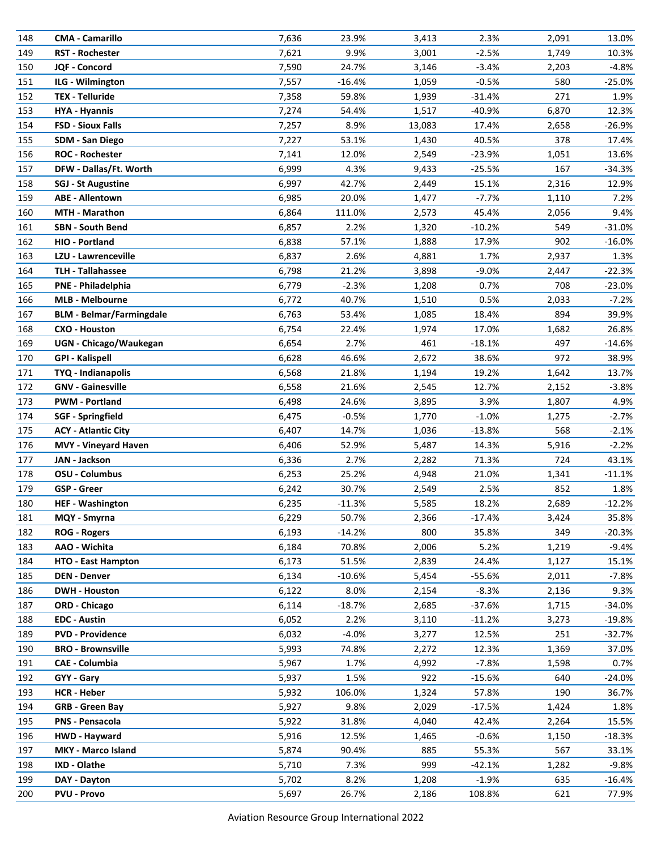| 148 | <b>CMA - Camarillo</b>          | 7,636 | 23.9%    | 3,413  | 2.3%     | 2,091 | 13.0%    |
|-----|---------------------------------|-------|----------|--------|----------|-------|----------|
| 149 | <b>RST - Rochester</b>          | 7,621 | 9.9%     | 3,001  | $-2.5%$  | 1,749 | 10.3%    |
| 150 | JQF - Concord                   | 7,590 | 24.7%    | 3,146  | $-3.4%$  | 2,203 | $-4.8%$  |
| 151 | ILG - Wilmington                | 7,557 | $-16.4%$ | 1,059  | $-0.5%$  | 580   | $-25.0%$ |
| 152 | <b>TEX - Telluride</b>          | 7,358 | 59.8%    | 1,939  | $-31.4%$ | 271   | 1.9%     |
| 153 | <b>HYA - Hyannis</b>            | 7,274 | 54.4%    | 1,517  | $-40.9%$ | 6,870 | 12.3%    |
| 154 | <b>FSD - Sioux Falls</b>        | 7,257 | 8.9%     | 13,083 | 17.4%    | 2,658 | $-26.9%$ |
| 155 | SDM - San Diego                 | 7,227 | 53.1%    | 1,430  | 40.5%    | 378   | 17.4%    |
| 156 | <b>ROC - Rochester</b>          | 7,141 | 12.0%    | 2,549  | -23.9%   | 1,051 | 13.6%    |
| 157 | DFW - Dallas/Ft. Worth          | 6,999 | 4.3%     | 9,433  | $-25.5%$ | 167   | $-34.3%$ |
| 158 | <b>SGJ - St Augustine</b>       | 6,997 | 42.7%    | 2,449  | 15.1%    | 2,316 | 12.9%    |
| 159 | <b>ABE - Allentown</b>          | 6,985 | 20.0%    | 1,477  | $-7.7%$  | 1,110 | 7.2%     |
| 160 | <b>MTH - Marathon</b>           | 6,864 | 111.0%   | 2,573  | 45.4%    | 2,056 | 9.4%     |
| 161 | <b>SBN - South Bend</b>         | 6,857 | 2.2%     | 1,320  | $-10.2%$ | 549   | $-31.0%$ |
| 162 | HIO - Portland                  | 6,838 | 57.1%    | 1,888  | 17.9%    | 902   | $-16.0%$ |
| 163 | LZU - Lawrenceville             | 6,837 | 2.6%     | 4,881  | 1.7%     | 2,937 | 1.3%     |
| 164 | <b>TLH - Tallahassee</b>        | 6,798 | 21.2%    | 3,898  | $-9.0%$  | 2,447 | $-22.3%$ |
| 165 | PNE - Philadelphia              | 6,779 | $-2.3%$  | 1,208  | 0.7%     | 708   | $-23.0%$ |
| 166 | <b>MLB - Melbourne</b>          | 6,772 | 40.7%    | 1,510  | 0.5%     | 2,033 | $-7.2%$  |
| 167 | <b>BLM - Belmar/Farmingdale</b> | 6,763 | 53.4%    | 1,085  | 18.4%    | 894   | 39.9%    |
| 168 | <b>CXO - Houston</b>            | 6,754 | 22.4%    | 1,974  | 17.0%    | 1,682 | 26.8%    |
| 169 | UGN - Chicago/Waukegan          | 6,654 | 2.7%     | 461    | $-18.1%$ | 497   | $-14.6%$ |
| 170 | <b>GPI - Kalispell</b>          | 6,628 | 46.6%    | 2,672  | 38.6%    | 972   | 38.9%    |
| 171 | TYQ - Indianapolis              | 6,568 | 21.8%    | 1,194  | 19.2%    | 1,642 | 13.7%    |
| 172 | <b>GNV - Gainesville</b>        | 6,558 | 21.6%    | 2,545  | 12.7%    | 2,152 | $-3.8%$  |
| 173 | <b>PWM - Portland</b>           | 6,498 | 24.6%    | 3,895  | 3.9%     | 1,807 | 4.9%     |
| 174 | <b>SGF</b> - Springfield        | 6,475 | $-0.5%$  | 1,770  | $-1.0%$  | 1,275 | $-2.7%$  |
| 175 | <b>ACY - Atlantic City</b>      | 6,407 | 14.7%    | 1,036  | $-13.8%$ | 568   | $-2.1%$  |
| 176 | <b>MVY - Vineyard Haven</b>     | 6,406 | 52.9%    | 5,487  | 14.3%    | 5,916 | $-2.2%$  |
| 177 | JAN - Jackson                   | 6,336 | 2.7%     | 2,282  | 71.3%    | 724   | 43.1%    |
| 178 | OSU - Columbus                  | 6,253 | 25.2%    | 4,948  | 21.0%    | 1,341 | $-11.1%$ |
| 179 | <b>GSP - Greer</b>              | 6,242 | 30.7%    | 2,549  | 2.5%     | 852   | 1.8%     |
| 180 | <b>HEF - Washington</b>         | 6,235 | $-11.3%$ | 5,585  | 18.2%    | 2,689 | $-12.2%$ |
| 181 | MQY - Smyrna                    | 6,229 | 50.7%    | 2,366  | $-17.4%$ | 3,424 | 35.8%    |
| 182 | <b>ROG - Rogers</b>             | 6,193 | $-14.2%$ | 800    | 35.8%    | 349   | $-20.3%$ |
| 183 | AAO - Wichita                   | 6,184 | 70.8%    | 2,006  | 5.2%     | 1,219 | -9.4%    |
| 184 | <b>HTO - East Hampton</b>       | 6,173 | 51.5%    | 2,839  | 24.4%    | 1,127 | 15.1%    |
| 185 | <b>DEN - Denver</b>             | 6,134 | $-10.6%$ | 5,454  | $-55.6%$ | 2,011 | $-7.8%$  |
| 186 | <b>DWH - Houston</b>            | 6,122 | 8.0%     | 2,154  | $-8.3%$  | 2,136 | 9.3%     |
| 187 | <b>ORD - Chicago</b>            | 6,114 | $-18.7%$ | 2,685  | -37.6%   | 1,715 | -34.0%   |
| 188 | <b>EDC - Austin</b>             | 6,052 | 2.2%     | 3,110  | $-11.2%$ | 3,273 | $-19.8%$ |
| 189 | <b>PVD - Providence</b>         | 6,032 | $-4.0\%$ | 3,277  | 12.5%    | 251   | -32.7%   |
| 190 | <b>BRO - Brownsville</b>        | 5,993 | 74.8%    | 2,272  | 12.3%    | 1,369 | 37.0%    |
| 191 | <b>CAE - Columbia</b>           | 5,967 | 1.7%     | 4,992  | $-7.8%$  | 1,598 | 0.7%     |
| 192 | GYY - Gary                      | 5,937 | 1.5%     | 922    | $-15.6%$ | 640   | $-24.0%$ |
| 193 | <b>HCR - Heber</b>              | 5,932 | 106.0%   | 1,324  | 57.8%    | 190   | 36.7%    |
| 194 | <b>GRB - Green Bay</b>          | 5,927 | 9.8%     | 2,029  | $-17.5%$ | 1,424 | 1.8%     |
| 195 | <b>PNS - Pensacola</b>          | 5,922 | 31.8%    | 4,040  | 42.4%    | 2,264 | 15.5%    |
| 196 | HWD - Hayward                   | 5,916 | 12.5%    | 1,465  | $-0.6%$  | 1,150 | $-18.3%$ |
| 197 | MKY - Marco Island              | 5,874 | 90.4%    | 885    | 55.3%    | 567   | 33.1%    |
| 198 | IXD - Olathe                    | 5,710 | 7.3%     | 999    | $-42.1%$ | 1,282 | $-9.8%$  |
| 199 | DAY - Dayton                    | 5,702 | 8.2%     | 1,208  | $-1.9\%$ | 635   | $-16.4%$ |
| 200 | <b>PVU - Provo</b>              | 5,697 | 26.7%    | 2,186  | 108.8%   | 621   | 77.9%    |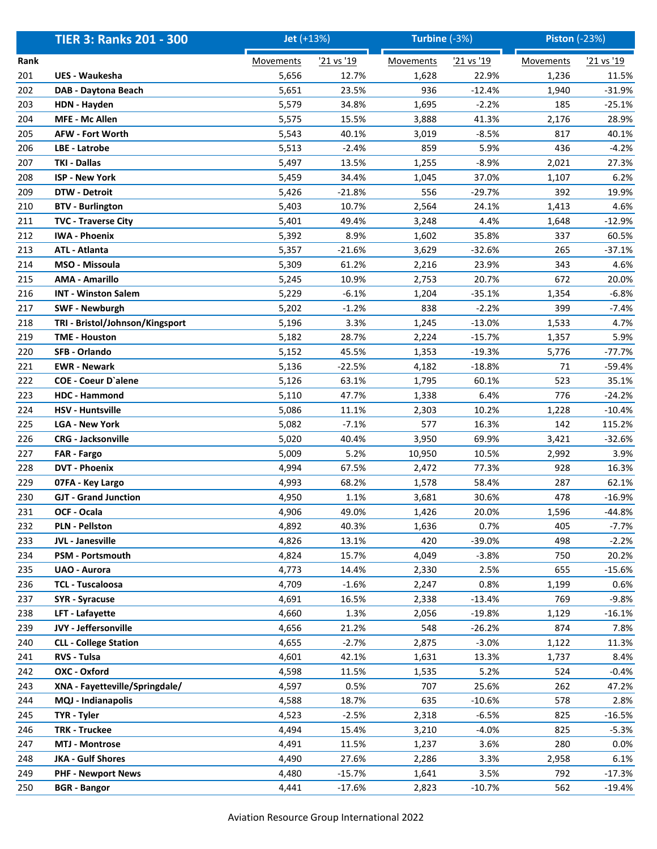|      | <b>TIER 3: Ranks 201 - 300</b>  | Jet (+13%)       |            | Turbine (-3%)    |            | <b>Piston (-23%)</b> |            |
|------|---------------------------------|------------------|------------|------------------|------------|----------------------|------------|
| Rank |                                 | <b>Movements</b> | '21 vs '19 | <b>Movements</b> | '21 vs '19 | <b>Movements</b>     | '21 vs '19 |
| 201  | <b>UES - Waukesha</b>           | 5,656            | 12.7%      | 1,628            | 22.9%      | 1,236                | 11.5%      |
| 202  | DAB - Daytona Beach             | 5,651            | 23.5%      | 936              | $-12.4%$   | 1,940                | $-31.9%$   |
| 203  | <b>HDN - Hayden</b>             | 5,579            | 34.8%      | 1,695            | $-2.2%$    | 185                  | $-25.1%$   |
| 204  | MFE - Mc Allen                  | 5,575            | 15.5%      | 3,888            | 41.3%      | 2,176                | 28.9%      |
| 205  | <b>AFW - Fort Worth</b>         | 5,543            | 40.1%      | 3,019            | $-8.5%$    | 817                  | 40.1%      |
| 206  | LBE - Latrobe                   | 5,513            | $-2.4%$    | 859              | 5.9%       | 436                  | $-4.2%$    |
| 207  | <b>TKI - Dallas</b>             | 5,497            | 13.5%      | 1,255            | $-8.9%$    | 2,021                | 27.3%      |
| 208  | <b>ISP - New York</b>           | 5,459            | 34.4%      | 1,045            | 37.0%      | 1,107                | 6.2%       |
| 209  | <b>DTW - Detroit</b>            | 5,426            | $-21.8%$   | 556              | -29.7%     | 392                  | 19.9%      |
| 210  | <b>BTV - Burlington</b>         | 5,403            | 10.7%      | 2,564            | 24.1%      | 1,413                | 4.6%       |
| 211  | <b>TVC - Traverse City</b>      | 5,401            | 49.4%      | 3,248            | 4.4%       | 1,648                | $-12.9%$   |
| 212  | <b>IWA - Phoenix</b>            | 5,392            | 8.9%       | 1,602            | 35.8%      | 337                  | 60.5%      |
| 213  | <b>ATL - Atlanta</b>            | 5,357            | $-21.6%$   | 3,629            | $-32.6%$   | 265                  | $-37.1%$   |
| 214  | MSO - Missoula                  | 5,309            | 61.2%      | 2,216            | 23.9%      | 343                  | 4.6%       |
| 215  | <b>AMA - Amarillo</b>           | 5,245            | 10.9%      | 2,753            | 20.7%      | 672                  | 20.0%      |
| 216  | <b>INT - Winston Salem</b>      | 5,229            | $-6.1%$    | 1,204            | $-35.1%$   | 1,354                | $-6.8%$    |
| 217  | <b>SWF - Newburgh</b>           | 5,202            | $-1.2%$    | 838              | $-2.2%$    | 399                  | $-7.4%$    |
| 218  | TRI - Bristol/Johnson/Kingsport | 5,196            | 3.3%       | 1,245            | $-13.0%$   | 1,533                | 4.7%       |
| 219  | <b>TME - Houston</b>            | 5,182            | 28.7%      | 2,224            | $-15.7%$   | 1,357                | 5.9%       |
| 220  | SFB - Orlando                   | 5,152            | 45.5%      | 1,353            | $-19.3%$   | 5,776                | $-77.7%$   |
| 221  | <b>EWR</b> - Newark             | 5,136            | $-22.5%$   | 4,182            | $-18.8%$   | 71                   | -59.4%     |
| 222  | <b>COE - Coeur D'alene</b>      | 5,126            | 63.1%      | 1,795            | 60.1%      | 523                  | 35.1%      |
| 223  | HDC - Hammond                   | 5,110            | 47.7%      | 1,338            | 6.4%       | 776                  | $-24.2%$   |
| 224  | <b>HSV - Huntsville</b>         | 5,086            | 11.1%      | 2,303            | 10.2%      | 1,228                | $-10.4%$   |
| 225  | <b>LGA - New York</b>           | 5,082            | $-7.1%$    | 577              | 16.3%      | 142                  | 115.2%     |
| 226  | <b>CRG - Jacksonville</b>       | 5,020            | 40.4%      | 3,950            | 69.9%      | 3,421                | $-32.6%$   |
| 227  | FAR - Fargo                     | 5,009            | 5.2%       | 10,950           | 10.5%      | 2,992                | 3.9%       |
| 228  | <b>DVT - Phoenix</b>            | 4,994            | 67.5%      | 2,472            | 77.3%      | 928                  | 16.3%      |
| 229  | 07FA - Key Largo                | 4,993            | 68.2%      | 1,578            | 58.4%      | 287                  | 62.1%      |
| 230  | <b>GJT - Grand Junction</b>     | 4,950            | 1.1%       | 3,681            | 30.6%      | 478                  | $-16.9%$   |
| 231  | OCF - Ocala                     | 4,906            | 49.0%      | 1,426            | 20.0%      | 1,596                | $-44.8%$   |
| 232  | <b>PLN - Pellston</b>           | 4,892            | 40.3%      | 1,636            | 0.7%       | 405                  | -7.7%      |
| 233  | JVL - Janesville                | 4,826            | 13.1%      | 420              | $-39.0%$   | 498                  | $-2.2%$    |
| 234  | PSM - Portsmouth                | 4,824            | 15.7%      | 4,049            | $-3.8%$    | 750                  | 20.2%      |
| 235  | <b>UAO - Aurora</b>             | 4,773            | 14.4%      | 2,330            | 2.5%       | 655                  | $-15.6%$   |
| 236  | <b>TCL - Tuscaloosa</b>         | 4,709            | $-1.6%$    | 2,247            | 0.8%       | 1,199                | 0.6%       |
| 237  | <b>SYR</b> - Syracuse           | 4,691            | 16.5%      | 2,338            | $-13.4%$   | 769                  | $-9.8%$    |
| 238  | LFT - Lafayette                 | 4,660            | 1.3%       | 2,056            | $-19.8%$   | 1,129                | $-16.1%$   |
| 239  | JVY - Jeffersonville            | 4,656            | 21.2%      | 548              | $-26.2%$   | 874                  | 7.8%       |
| 240  | <b>CLL - College Station</b>    | 4,655            | $-2.7%$    | 2,875            | $-3.0%$    | 1,122                | 11.3%      |
| 241  | RVS - Tulsa                     | 4,601            | 42.1%      | 1,631            | 13.3%      | 1,737                | 8.4%       |
| 242  | OXC - Oxford                    | 4,598            | 11.5%      | 1,535            | 5.2%       | 524                  | $-0.4%$    |
| 243  | XNA - Fayetteville/Springdale/  | 4,597            | 0.5%       | 707              | 25.6%      | 262                  | 47.2%      |
| 244  | MQJ - Indianapolis              | 4,588            | 18.7%      | 635              | $-10.6%$   | 578                  | 2.8%       |
| 245  | TYR - Tyler                     | 4,523            | $-2.5%$    | 2,318            | $-6.5%$    | 825                  | $-16.5%$   |
| 246  | <b>TRK - Truckee</b>            | 4,494            | 15.4%      | 3,210            | $-4.0%$    | 825                  | $-5.3%$    |
| 247  | <b>MTJ - Montrose</b>           | 4,491            | 11.5%      | 1,237            | 3.6%       | 280                  | 0.0%       |
| 248  | <b>JKA - Gulf Shores</b>        | 4,490            | 27.6%      | 2,286            | 3.3%       | 2,958                | 6.1%       |
| 249  | <b>PHF - Newport News</b>       | 4,480            | $-15.7%$   | 1,641            | 3.5%       | 792                  | $-17.3%$   |
| 250  | <b>BGR</b> - Bangor             | 4,441            | $-17.6%$   | 2,823            | $-10.7%$   | 562                  | $-19.4%$   |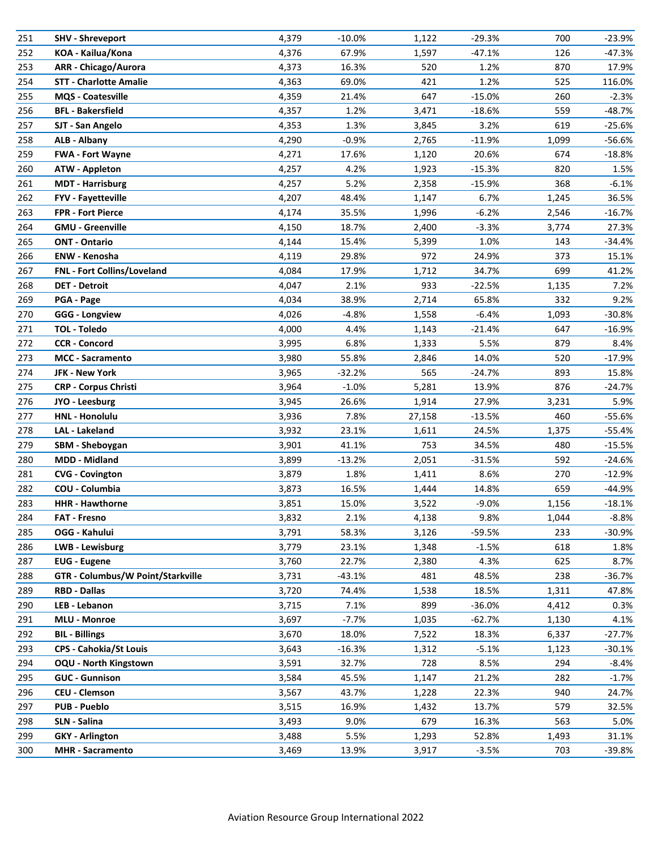| 251 | SHV - Shreveport                  | 4,379 | $-10.0\%$ | 1,122  | $-29.3%$ | 700   | $-23.9%$ |
|-----|-----------------------------------|-------|-----------|--------|----------|-------|----------|
| 252 | KOA - Kailua/Kona                 | 4,376 | 67.9%     | 1,597  | $-47.1%$ | 126   | $-47.3%$ |
| 253 | <b>ARR</b> - Chicago/Aurora       | 4,373 | 16.3%     | 520    | 1.2%     | 870   | 17.9%    |
| 254 | <b>STT - Charlotte Amalie</b>     | 4,363 | 69.0%     | 421    | 1.2%     | 525   | 116.0%   |
| 255 | MQS - Coatesville                 | 4,359 | 21.4%     | 647    | $-15.0%$ | 260   | $-2.3%$  |
| 256 | <b>BFL - Bakersfield</b>          | 4,357 | 1.2%      | 3,471  | $-18.6%$ | 559   | $-48.7%$ |
| 257 | SJT - San Angelo                  | 4,353 | 1.3%      | 3,845  | 3.2%     | 619   | $-25.6%$ |
| 258 | <b>ALB - Albany</b>               | 4,290 | $-0.9%$   | 2,765  | $-11.9%$ | 1,099 | $-56.6%$ |
| 259 | <b>FWA - Fort Wayne</b>           | 4,271 | 17.6%     | 1,120  | 20.6%    | 674   | $-18.8%$ |
| 260 | <b>ATW - Appleton</b>             | 4,257 | 4.2%      | 1,923  | $-15.3%$ | 820   | 1.5%     |
| 261 | <b>MDT</b> - Harrisburg           | 4,257 | 5.2%      | 2,358  | $-15.9%$ | 368   | $-6.1%$  |
| 262 | <b>FYV - Fayetteville</b>         | 4,207 | 48.4%     | 1,147  | 6.7%     | 1,245 | 36.5%    |
| 263 | FPR - Fort Pierce                 | 4,174 | 35.5%     | 1,996  | $-6.2%$  | 2,546 | $-16.7%$ |
| 264 | <b>GMU - Greenville</b>           | 4,150 | 18.7%     | 2,400  | $-3.3%$  | 3,774 | 27.3%    |
| 265 | <b>ONT - Ontario</b>              | 4,144 | 15.4%     | 5,399  | 1.0%     | 143   | $-34.4%$ |
| 266 | <b>ENW - Kenosha</b>              | 4,119 | 29.8%     | 972    | 24.9%    | 373   | 15.1%    |
| 267 | FNL - Fort Collins/Loveland       | 4,084 | 17.9%     | 1,712  | 34.7%    | 699   | 41.2%    |
| 268 | <b>DET - Detroit</b>              | 4,047 | 2.1%      | 933    | $-22.5%$ | 1,135 | 7.2%     |
| 269 | PGA - Page                        | 4,034 | 38.9%     | 2,714  | 65.8%    | 332   | 9.2%     |
| 270 | <b>GGG - Longview</b>             | 4,026 | $-4.8%$   | 1,558  | $-6.4%$  | 1,093 | $-30.8%$ |
| 271 | TOL - Toledo                      | 4,000 | 4.4%      | 1,143  | $-21.4%$ | 647   | $-16.9%$ |
| 272 | <b>CCR - Concord</b>              | 3,995 | 6.8%      | 1,333  | 5.5%     | 879   | 8.4%     |
| 273 | <b>MCC</b> - Sacramento           | 3,980 | 55.8%     | 2,846  | 14.0%    | 520   | $-17.9%$ |
| 274 | JFK - New York                    | 3,965 | $-32.2%$  | 565    | $-24.7%$ | 893   | 15.8%    |
| 275 | <b>CRP - Corpus Christi</b>       | 3,964 | $-1.0%$   | 5,281  | 13.9%    | 876   | $-24.7%$ |
| 276 | JYO - Leesburg                    | 3,945 | 26.6%     | 1,914  | 27.9%    | 3,231 | 5.9%     |
| 277 | <b>HNL - Honolulu</b>             | 3,936 | 7.8%      | 27,158 | $-13.5%$ | 460   | -55.6%   |
| 278 | <b>LAL</b> - Lakeland             | 3,932 | 23.1%     | 1,611  | 24.5%    | 1,375 | -55.4%   |
| 279 | SBM - Sheboygan                   | 3,901 | 41.1%     | 753    | 34.5%    | 480   | $-15.5%$ |
| 280 | <b>MDD - Midland</b>              | 3,899 | $-13.2%$  | 2,051  | $-31.5%$ | 592   | $-24.6%$ |
| 281 | <b>CVG - Covington</b>            | 3,879 | 1.8%      | 1,411  | 8.6%     | 270   | $-12.9%$ |
| 282 | COU - Columbia                    | 3,873 | 16.5%     | 1,444  | 14.8%    | 659   | -44.9%   |
| 283 | <b>HHR-Hawthorne</b>              | 3,851 | 15.0%     | 3,522  | $-9.0%$  | 1,156 | $-18.1%$ |
| 284 | <b>FAT - Fresno</b>               | 3,832 | 2.1%      | 4,138  | 9.8%     | 1,044 | $-8.8%$  |
| 285 | OGG - Kahului                     | 3,791 | 58.3%     | 3,126  | -59.5%   | 233   | $-30.9%$ |
| 286 | LWB - Lewisburg                   | 3,779 | 23.1%     | 1,348  | $-1.5%$  | 618   | 1.8%     |
| 287 | <b>EUG</b> - Eugene               | 3,760 | 22.7%     | 2,380  | 4.3%     | 625   | 8.7%     |
| 288 | GTR - Columbus/W Point/Starkville | 3,731 | $-43.1%$  | 481    | 48.5%    | 238   | $-36.7%$ |
| 289 | <b>RBD - Dallas</b>               | 3,720 | 74.4%     | 1,538  | 18.5%    | 1,311 | 47.8%    |
| 290 | LEB - Lebanon                     | 3,715 | 7.1%      | 899    | $-36.0%$ | 4,412 | 0.3%     |
| 291 | <b>MLU - Monroe</b>               | 3,697 | $-7.7%$   | 1,035  | $-62.7%$ | 1,130 | 4.1%     |
| 292 | <b>BIL - Billings</b>             | 3,670 | 18.0%     | 7,522  | 18.3%    | 6,337 | $-27.7%$ |
| 293 | <b>CPS - Cahokia/St Louis</b>     | 3,643 | $-16.3%$  | 1,312  | $-5.1%$  | 1,123 | $-30.1%$ |
| 294 | <b>OQU - North Kingstown</b>      | 3,591 | 32.7%     | 728    | 8.5%     | 294   | $-8.4%$  |
| 295 | <b>GUC - Gunnison</b>             | 3,584 | 45.5%     | 1,147  | 21.2%    | 282   | $-1.7%$  |
| 296 | <b>CEU - Clemson</b>              | 3,567 | 43.7%     | 1,228  | 22.3%    | 940   | 24.7%    |
| 297 | <b>PUB - Pueblo</b>               | 3,515 | 16.9%     | 1,432  | 13.7%    | 579   | 32.5%    |
| 298 | SLN - Salina                      | 3,493 | 9.0%      | 679    | 16.3%    | 563   | 5.0%     |
| 299 | <b>GKY</b> - Arlington            | 3,488 | 5.5%      | 1,293  | 52.8%    | 1,493 | 31.1%    |
| 300 | <b>MHR</b> - Sacramento           | 3,469 | 13.9%     | 3,917  | $-3.5%$  | 703   | -39.8%   |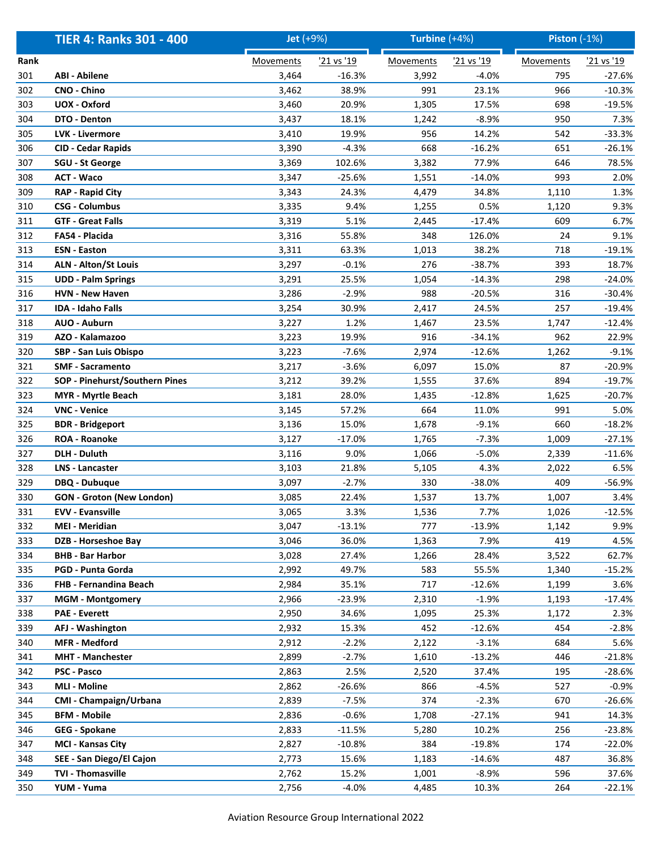|      | <b>TIER 4: Ranks 301 - 400</b>   | <b>Jet</b> (+9%) |            | Turbine $(+4%)$  |            | <b>Piston (-1%)</b> |            |
|------|----------------------------------|------------------|------------|------------------|------------|---------------------|------------|
| Rank |                                  | <b>Movements</b> | '21 vs '19 | <b>Movements</b> | '21 vs '19 | <b>Movements</b>    | '21 vs '19 |
| 301  | <b>ABI - Abilene</b>             | 3,464            | $-16.3%$   | 3,992            | $-4.0%$    | 795                 | $-27.6%$   |
| 302  | CNO - Chino                      | 3,462            | 38.9%      | 991              | 23.1%      | 966                 | $-10.3%$   |
| 303  | UOX - Oxford                     | 3,460            | 20.9%      | 1,305            | 17.5%      | 698                 | $-19.5%$   |
| 304  | DTO - Denton                     | 3,437            | 18.1%      | 1,242            | $-8.9%$    | 950                 | 7.3%       |
| 305  | <b>LVK - Livermore</b>           | 3,410            | 19.9%      | 956              | 14.2%      | 542                 | $-33.3%$   |
| 306  | <b>CID - Cedar Rapids</b>        | 3,390            | $-4.3%$    | 668              | $-16.2%$   | 651                 | $-26.1%$   |
| 307  | <b>SGU - St George</b>           | 3,369            | 102.6%     | 3,382            | 77.9%      | 646                 | 78.5%      |
| 308  | <b>ACT - Waco</b>                | 3,347            | $-25.6%$   | 1,551            | $-14.0%$   | 993                 | 2.0%       |
| 309  | <b>RAP - Rapid City</b>          | 3,343            | 24.3%      | 4,479            | 34.8%      | 1,110               | 1.3%       |
| 310  | <b>CSG - Columbus</b>            | 3,335            | 9.4%       | 1,255            | 0.5%       | 1,120               | 9.3%       |
| 311  | <b>GTF - Great Falls</b>         | 3,319            | 5.1%       | 2,445            | $-17.4%$   | 609                 | 6.7%       |
| 312  | FA54 - Placida                   | 3,316            | 55.8%      | 348              | 126.0%     | 24                  | 9.1%       |
| 313  | <b>ESN - Easton</b>              | 3,311            | 63.3%      | 1,013            | 38.2%      | 718                 | $-19.1%$   |
| 314  | <b>ALN - Alton/St Louis</b>      | 3,297            | $-0.1%$    | 276              | $-38.7%$   | 393                 | 18.7%      |
| 315  | <b>UDD - Palm Springs</b>        | 3,291            | 25.5%      | 1,054            | $-14.3%$   | 298                 | $-24.0%$   |
| 316  | <b>HVN - New Haven</b>           | 3,286            | $-2.9%$    | 988              | $-20.5%$   | 316                 | $-30.4%$   |
| 317  | <b>IDA - Idaho Falls</b>         | 3,254            | 30.9%      | 2,417            | 24.5%      | 257                 | $-19.4%$   |
| 318  | AUO - Auburn                     | 3,227            | 1.2%       | 1,467            | 23.5%      | 1,747               | $-12.4%$   |
| 319  | AZO - Kalamazoo                  | 3,223            | 19.9%      | 916              | $-34.1%$   | 962                 | 22.9%      |
| 320  | SBP - San Luis Obispo            | 3,223            | -7.6%      | 2,974            | $-12.6%$   | 1,262               | $-9.1%$    |
| 321  | <b>SMF - Sacramento</b>          | 3,217            | $-3.6%$    | 6,097            | 15.0%      | 87                  | $-20.9%$   |
| 322  | SOP - Pinehurst/Southern Pines   | 3,212            | 39.2%      | 1,555            | 37.6%      | 894                 | $-19.7%$   |
| 323  | <b>MYR - Myrtle Beach</b>        | 3,181            | 28.0%      | 1,435            | $-12.8%$   | 1,625               | $-20.7%$   |
| 324  | <b>VNC - Venice</b>              | 3,145            | 57.2%      | 664              | 11.0%      | 991                 | 5.0%       |
| 325  | <b>BDR</b> - Bridgeport          | 3,136            | 15.0%      | 1,678            | $-9.1%$    | 660                 | $-18.2%$   |
| 326  | <b>ROA - Roanoke</b>             | 3,127            | $-17.0%$   | 1,765            | $-7.3%$    | 1,009               | $-27.1%$   |
| 327  | <b>DLH - Duluth</b>              | 3,116            | 9.0%       | 1,066            | $-5.0%$    | 2,339               | $-11.6%$   |
| 328  | <b>LNS - Lancaster</b>           | 3,103            | 21.8%      | 5,105            | 4.3%       | 2,022               | 6.5%       |
| 329  | DBQ - Dubuque                    | 3,097            | $-2.7%$    | 330              | $-38.0%$   | 409                 | $-56.9%$   |
| 330  | <b>GON - Groton (New London)</b> | 3,085            | 22.4%      | 1,537            | 13.7%      | 1,007               | 3.4%       |
| 331  | <b>EVV - Evansville</b>          | 3,065            | 3.3%       | 1,536            | 7.7%       | 1,026               | $-12.5%$   |
| 332  | <b>MEI - Meridian</b>            | 3,047            | $-13.1%$   | 777              | $-13.9%$   | 1,142               | 9.9%       |
| 333  | DZB - Horseshoe Bay              | 3,046            | 36.0%      | 1,363            | 7.9%       | 419                 | 4.5%       |
| 334  | <b>BHB - Bar Harbor</b>          | 3,028            | 27.4%      | 1,266            | 28.4%      | 3,522               | 62.7%      |
| 335  | PGD - Punta Gorda                | 2,992            | 49.7%      | 583              | 55.5%      | 1,340               | $-15.2%$   |
| 336  | FHB - Fernandina Beach           | 2,984            | 35.1%      | 717              | $-12.6%$   | 1,199               | 3.6%       |
| 337  | <b>MGM - Montgomery</b>          | 2,966            | $-23.9%$   | 2,310            | $-1.9%$    | 1,193               | $-17.4%$   |
| 338  | <b>PAE - Everett</b>             | 2,950            | 34.6%      | 1,095            | 25.3%      | 1,172               | 2.3%       |
| 339  | AFJ - Washington                 | 2,932            | 15.3%      | 452              | $-12.6%$   | 454                 | $-2.8%$    |
| 340  | <b>MFR</b> - Medford             | 2,912            | $-2.2%$    | 2,122            | $-3.1%$    | 684                 | 5.6%       |
| 341  | <b>MHT - Manchester</b>          | 2,899            | $-2.7%$    | 1,610            | $-13.2%$   | 446                 | $-21.8%$   |
| 342  | <b>PSC - Pasco</b>               | 2,863            | 2.5%       | 2,520            | 37.4%      | 195                 | $-28.6%$   |
| 343  | <b>MLI - Moline</b>              | 2,862            | $-26.6%$   | 866              | $-4.5%$    | 527                 | $-0.9%$    |
| 344  | CMI - Champaign/Urbana           | 2,839            | $-7.5%$    | 374              | $-2.3%$    | 670                 | -26.6%     |
| 345  | <b>BFM - Mobile</b>              | 2,836            | $-0.6%$    | 1,708            | $-27.1%$   | 941                 | 14.3%      |
| 346  | <b>GEG - Spokane</b>             | 2,833            | $-11.5%$   | 5,280            | 10.2%      | 256                 | $-23.8%$   |
| 347  | <b>MCI - Kansas City</b>         | 2,827            | $-10.8%$   | 384              | $-19.8%$   | 174                 | $-22.0%$   |
| 348  | SEE - San Diego/El Cajon         | 2,773            | 15.6%      | 1,183            | $-14.6%$   | 487                 | 36.8%      |
| 349  | TVI - Thomasville                | 2,762            | 15.2%      | 1,001            | $-8.9%$    | 596                 | 37.6%      |
| 350  | YUM - Yuma                       | 2,756            | $-4.0%$    | 4,485            | 10.3%      | 264                 | $-22.1%$   |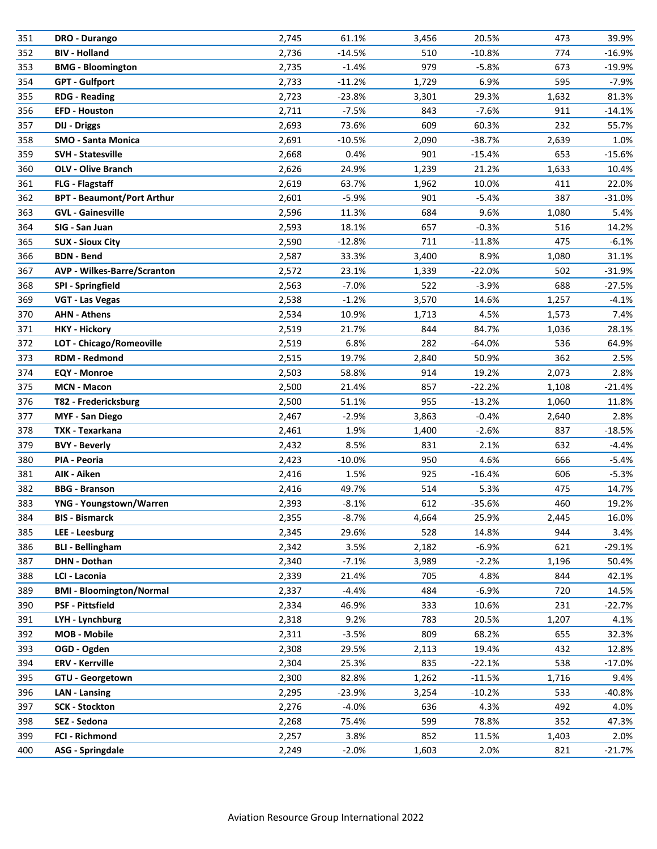| 351 | DRO - Durango                      | 2,745 | 61.1%     | 3,456 | 20.5%    | 473   | 39.9%    |
|-----|------------------------------------|-------|-----------|-------|----------|-------|----------|
| 352 | <b>BIV - Holland</b>               | 2,736 | $-14.5%$  | 510   | $-10.8%$ | 774   | $-16.9%$ |
| 353 | <b>BMG - Bloomington</b>           | 2,735 | $-1.4%$   | 979   | $-5.8%$  | 673   | $-19.9%$ |
| 354 | <b>GPT - Gulfport</b>              | 2,733 | $-11.2%$  | 1,729 | 6.9%     | 595   | -7.9%    |
| 355 | <b>RDG - Reading</b>               | 2,723 | $-23.8%$  | 3,301 | 29.3%    | 1,632 | 81.3%    |
| 356 | <b>EFD - Houston</b>               | 2,711 | $-7.5%$   | 843   | $-7.6%$  | 911   | $-14.1%$ |
| 357 | <b>DIJ - Driggs</b>                | 2,693 | 73.6%     | 609   | 60.3%    | 232   | 55.7%    |
| 358 | <b>SMO - Santa Monica</b>          | 2,691 | $-10.5%$  | 2,090 | $-38.7%$ | 2,639 | 1.0%     |
| 359 | <b>SVH - Statesville</b>           | 2,668 | 0.4%      | 901   | $-15.4%$ | 653   | $-15.6%$ |
| 360 | <b>OLV - Olive Branch</b>          | 2,626 | 24.9%     | 1,239 | 21.2%    | 1,633 | 10.4%    |
| 361 | <b>FLG - Flagstaff</b>             | 2,619 | 63.7%     | 1,962 | 10.0%    | 411   | 22.0%    |
| 362 | <b>BPT - Beaumont/Port Arthur</b>  | 2,601 | $-5.9%$   | 901   | $-5.4%$  | 387   | $-31.0%$ |
| 363 | <b>GVL - Gainesville</b>           | 2,596 | 11.3%     | 684   | 9.6%     | 1,080 | 5.4%     |
| 364 | SIG - San Juan                     | 2,593 | 18.1%     | 657   | $-0.3%$  | 516   | 14.2%    |
| 365 | <b>SUX - Sioux City</b>            | 2,590 | $-12.8%$  | 711   | $-11.8%$ | 475   | $-6.1%$  |
| 366 | <b>BDN - Bend</b>                  | 2,587 | 33.3%     | 3,400 | 8.9%     | 1,080 | 31.1%    |
| 367 | <b>AVP - Wilkes-Barre/Scranton</b> | 2,572 | 23.1%     | 1,339 | $-22.0%$ | 502   | $-31.9%$ |
| 368 | SPI - Springfield                  | 2,563 | $-7.0%$   | 522   | $-3.9%$  | 688   | $-27.5%$ |
| 369 | VGT - Las Vegas                    | 2,538 | $-1.2%$   | 3,570 | 14.6%    | 1,257 | $-4.1%$  |
| 370 | <b>AHN - Athens</b>                | 2,534 | 10.9%     | 1,713 | 4.5%     | 1,573 | 7.4%     |
| 371 | <b>HKY - Hickory</b>               | 2,519 | 21.7%     | 844   | 84.7%    | 1,036 | 28.1%    |
| 372 | LOT - Chicago/Romeoville           | 2,519 | 6.8%      | 282   | $-64.0%$ | 536   | 64.9%    |
| 373 | <b>RDM - Redmond</b>               | 2,515 | 19.7%     | 2,840 | 50.9%    | 362   | 2.5%     |
| 374 | <b>EQY - Monroe</b>                | 2,503 | 58.8%     | 914   | 19.2%    | 2,073 | 2.8%     |
| 375 | <b>MCN - Macon</b>                 | 2,500 | 21.4%     | 857   | $-22.2%$ | 1,108 | $-21.4%$ |
| 376 | T82 - Fredericksburg               | 2,500 | 51.1%     | 955   | $-13.2%$ | 1,060 | 11.8%    |
| 377 | <b>MYF - San Diego</b>             | 2,467 | $-2.9%$   | 3,863 | $-0.4%$  | 2,640 | 2.8%     |
| 378 | TXK - Texarkana                    | 2,461 | 1.9%      | 1,400 | $-2.6%$  | 837   | $-18.5%$ |
| 379 | <b>BVY - Beverly</b>               | 2,432 | 8.5%      | 831   | 2.1%     | 632   | $-4.4%$  |
| 380 | PIA - Peoria                       | 2,423 | $-10.0\%$ | 950   | 4.6%     | 666   | $-5.4%$  |
| 381 | AIK - Aiken                        | 2,416 | 1.5%      | 925   | $-16.4%$ | 606   | $-5.3%$  |
| 382 | <b>BBG - Branson</b>               | 2,416 | 49.7%     | 514   | 5.3%     | 475   | 14.7%    |
| 383 | YNG - Youngstown/Warren            | 2,393 | $-8.1%$   | 612   | $-35.6%$ | 460   | 19.2%    |
| 384 | <b>BIS - Bismarck</b>              | 2,355 | $-8.7%$   | 4,664 | 25.9%    | 2,445 | 16.0%    |
| 385 | LEE - Leesburg                     | 2,345 | 29.6%     | 528   | 14.8%    | 944   | 3.4%     |
| 386 | <b>BLI - Bellingham</b>            | 2,342 | 3.5%      | 2,182 | $-6.9%$  | 621   | $-29.1%$ |
| 387 | DHN - Dothan                       | 2,340 | $-7.1%$   | 3,989 | $-2.2%$  | 1,196 | 50.4%    |
| 388 | LCI - Laconia                      | 2,339 | 21.4%     | 705   | 4.8%     | 844   | 42.1%    |
| 389 | <b>BMI - Bloomington/Normal</b>    | 2,337 | $-4.4%$   | 484   | $-6.9%$  | 720   | 14.5%    |
| 390 | <b>PSF - Pittsfield</b>            | 2,334 | 46.9%     | 333   | 10.6%    | 231   | $-22.7%$ |
| 391 | LYH - Lynchburg                    | 2,318 | 9.2%      | 783   | 20.5%    | 1,207 | 4.1%     |
| 392 | <b>MOB - Mobile</b>                | 2,311 | $-3.5%$   | 809   | 68.2%    | 655   | 32.3%    |
| 393 | OGD - Ogden                        | 2,308 | 29.5%     | 2,113 | 19.4%    | 432   | 12.8%    |
| 394 | <b>ERV - Kerrville</b>             | 2,304 | 25.3%     | 835   | $-22.1%$ | 538   | $-17.0%$ |
| 395 | GTU - Georgetown                   | 2,300 | 82.8%     | 1,262 | $-11.5%$ | 1,716 | 9.4%     |
| 396 | <b>LAN - Lansing</b>               | 2,295 | $-23.9%$  | 3,254 | $-10.2%$ | 533   | -40.8%   |
| 397 | <b>SCK - Stockton</b>              | 2,276 | $-4.0%$   | 636   | 4.3%     | 492   | 4.0%     |
| 398 | SEZ - Sedona                       | 2,268 | 75.4%     | 599   | 78.8%    | 352   | 47.3%    |
| 399 | FCI - Richmond                     | 2,257 | 3.8%      | 852   | 11.5%    | 1,403 | 2.0%     |
| 400 | <b>ASG - Springdale</b>            | 2,249 | $-2.0%$   | 1,603 | 2.0%     | 821   | $-21.7%$ |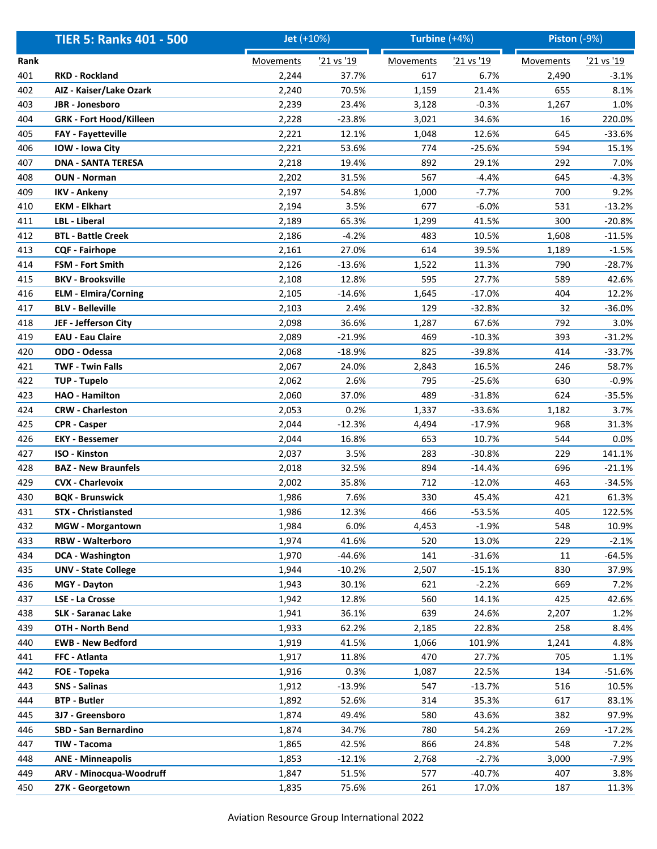|      | <b>TIER 5: Ranks 401 - 500</b> | Jet (+10%) |            | Turbine $(+4%)$  |            | <b>Piston (-9%)</b> |            |
|------|--------------------------------|------------|------------|------------------|------------|---------------------|------------|
| Rank |                                | Movements  | '21 vs '19 | <b>Movements</b> | '21 vs '19 | Movements           | '21 vs '19 |
| 401  | <b>RKD - Rockland</b>          | 2,244      | 37.7%      | 617              | 6.7%       | 2,490               | $-3.1%$    |
| 402  | AIZ - Kaiser/Lake Ozark        | 2,240      | 70.5%      | 1,159            | 21.4%      | 655                 | 8.1%       |
| 403  | JBR - Jonesboro                | 2,239      | 23.4%      | 3,128            | $-0.3%$    | 1,267               | 1.0%       |
| 404  | <b>GRK - Fort Hood/Killeen</b> | 2,228      | $-23.8%$   | 3,021            | 34.6%      | 16                  | 220.0%     |
| 405  | <b>FAY - Fayetteville</b>      | 2,221      | 12.1%      | 1,048            | 12.6%      | 645                 | $-33.6%$   |
| 406  | IOW - Iowa City                | 2,221      | 53.6%      | 774              | $-25.6%$   | 594                 | 15.1%      |
| 407  | <b>DNA - SANTA TERESA</b>      | 2,218      | 19.4%      | 892              | 29.1%      | 292                 | 7.0%       |
| 408  | <b>OUN - Norman</b>            | 2,202      | 31.5%      | 567              | $-4.4%$    | 645                 | $-4.3%$    |
| 409  | <b>IKV - Ankeny</b>            | 2,197      | 54.8%      | 1,000            | $-7.7%$    | 700                 | 9.2%       |
| 410  | <b>EKM - Elkhart</b>           | 2,194      | 3.5%       | 677              | $-6.0%$    | 531                 | $-13.2%$   |
| 411  | <b>LBL</b> - Liberal           | 2,189      | 65.3%      | 1,299            | 41.5%      | 300                 | $-20.8%$   |
| 412  | <b>BTL - Battle Creek</b>      | 2,186      | $-4.2%$    | 483              | 10.5%      | 1,608               | $-11.5%$   |
| 413  | <b>CQF - Fairhope</b>          | 2,161      | 27.0%      | 614              | 39.5%      | 1,189               | $-1.5%$    |
| 414  | <b>FSM - Fort Smith</b>        | 2,126      | $-13.6%$   | 1,522            | 11.3%      | 790                 | $-28.7%$   |
| 415  | <b>BKV - Brooksville</b>       | 2,108      | 12.8%      | 595              | 27.7%      | 589                 | 42.6%      |
| 416  | <b>ELM - Elmira/Corning</b>    | 2,105      | $-14.6%$   | 1,645            | $-17.0%$   | 404                 | 12.2%      |
| 417  | <b>BLV - Belleville</b>        | 2,103      | 2.4%       | 129              | $-32.8%$   | 32                  | $-36.0%$   |
| 418  | JEF - Jefferson City           | 2,098      | 36.6%      | 1,287            | 67.6%      | 792                 | 3.0%       |
| 419  | <b>EAU - Eau Claire</b>        | 2,089      | $-21.9%$   | 469              | $-10.3%$   | 393                 | $-31.2%$   |
| 420  | ODO - Odessa                   | 2,068      | $-18.9%$   | 825              | $-39.8%$   | 414                 | $-33.7%$   |
| 421  | <b>TWF - Twin Falls</b>        | 2,067      | 24.0%      | 2,843            | 16.5%      | 246                 | 58.7%      |
| 422  | <b>TUP - Tupelo</b>            | 2,062      | 2.6%       | 795              | $-25.6%$   | 630                 | $-0.9%$    |
| 423  | <b>HAO - Hamilton</b>          | 2,060      | 37.0%      | 489              | $-31.8%$   | 624                 | $-35.5%$   |
| 424  | <b>CRW - Charleston</b>        | 2,053      | 0.2%       | 1,337            | $-33.6%$   | 1,182               | 3.7%       |
| 425  | <b>CPR - Casper</b>            | 2,044      | $-12.3%$   | 4,494            | $-17.9%$   | 968                 | 31.3%      |
| 426  | <b>EKY - Bessemer</b>          | 2,044      | 16.8%      | 653              | 10.7%      | 544                 | 0.0%       |
| 427  | <b>ISO - Kinston</b>           | 2,037      | 3.5%       | 283              | $-30.8%$   | 229                 | 141.1%     |
| 428  | <b>BAZ - New Braunfels</b>     | 2,018      | 32.5%      | 894              | $-14.4%$   | 696                 | $-21.1%$   |
| 429  | <b>CVX - Charlevoix</b>        | 2,002      | 35.8%      | 712              | $-12.0%$   | 463                 | $-34.5%$   |
| 430  | <b>BQK - Brunswick</b>         | 1,986      | 7.6%       | 330              | 45.4%      | 421                 | 61.3%      |
| 431  | <b>STX</b> - Christiansted     | 1,986      | 12.3%      | 466              | $-53.5%$   | 405                 | 122.5%     |
| 432  | <b>MGW</b> - Morgantown        | 1,984      | 6.0%       | 4,453            | $-1.9%$    | 548                 | 10.9%      |
| 433  | <b>RBW - Walterboro</b>        | 1,974      | 41.6%      | 520              | 13.0%      | 229                 | $-2.1%$    |
| 434  | <b>DCA - Washington</b>        | 1,970      | $-44.6%$   | 141              | $-31.6%$   | 11                  | $-64.5%$   |
| 435  | <b>UNV - State College</b>     | 1,944      | $-10.2%$   | 2,507            | $-15.1%$   | 830                 | 37.9%      |
| 436  | MGY - Dayton                   | 1,943      | 30.1%      | 621              | $-2.2%$    | 669                 | 7.2%       |
| 437  | LSE - La Crosse                | 1,942      | 12.8%      | 560              | 14.1%      | 425                 | 42.6%      |
| 438  | <b>SLK - Saranac Lake</b>      | 1,941      | 36.1%      | 639              | 24.6%      | 2,207               | 1.2%       |
| 439  | OTH - North Bend               | 1,933      | 62.2%      | 2,185            | 22.8%      | 258                 | 8.4%       |
| 440  | <b>EWB - New Bedford</b>       | 1,919      | 41.5%      | 1,066            | 101.9%     | 1,241               | 4.8%       |
| 441  | FFC - Atlanta                  | 1,917      | 11.8%      | 470              | 27.7%      | 705                 | 1.1%       |
| 442  | FOE - Topeka                   | 1,916      | 0.3%       | 1,087            | 22.5%      | 134                 | $-51.6%$   |
| 443  | SNS - Salinas                  | 1,912      | $-13.9%$   | 547              | $-13.7%$   | 516                 | 10.5%      |
| 444  | <b>BTP - Butler</b>            | 1,892      | 52.6%      | 314              | 35.3%      | 617                 | 83.1%      |
| 445  | 3J7 - Greensboro               | 1,874      | 49.4%      | 580              | 43.6%      | 382                 | 97.9%      |
| 446  | SBD - San Bernardino           | 1,874      | 34.7%      | 780              | 54.2%      | 269                 | $-17.2%$   |
| 447  | TIW - Tacoma                   | 1,865      | 42.5%      | 866              | 24.8%      | 548                 | 7.2%       |
| 448  | <b>ANE - Minneapolis</b>       | 1,853      | $-12.1%$   | 2,768            | $-2.7%$    | 3,000               | -7.9%      |
| 449  | ARV - Minocqua-Woodruff        | 1,847      | 51.5%      | 577              | $-40.7%$   | 407                 | 3.8%       |
| 450  | 27K - Georgetown               | 1,835      | 75.6%      | 261              | 17.0%      | 187                 | 11.3%      |